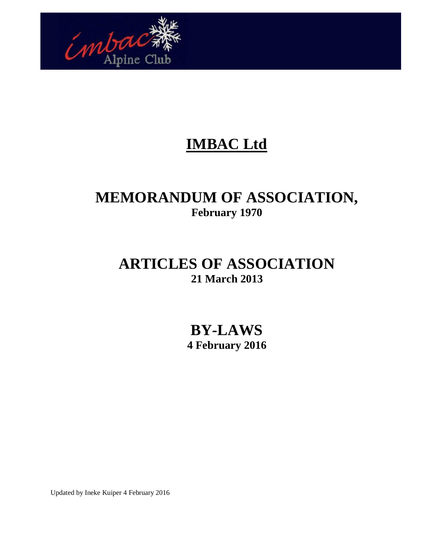

# **IMBAC Ltd**

# **MEMORANDUM OF ASSOCIATION, February 1970**

# **ARTICLES OF ASSOCIATION 21 March 2013**

**BY-LAWS 4 February 2016**

Updated by Ineke Kuiper 4 February 2016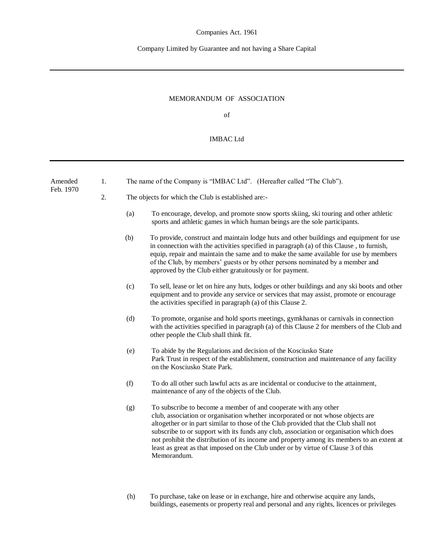#### Company Limited by Guarantee and not having a Share Capital

#### MEMORANDUM OF ASSOCIATION

of

#### IMBAC Ltd

| Amended<br>Feb. 1970 | 1. | The name of the Company is "IMBAC Ltd". (Hereafter called "The Club").                                                                                                                                                                                                                                                                                                                                                                                                                                                                        |  |  |
|----------------------|----|-----------------------------------------------------------------------------------------------------------------------------------------------------------------------------------------------------------------------------------------------------------------------------------------------------------------------------------------------------------------------------------------------------------------------------------------------------------------------------------------------------------------------------------------------|--|--|
|                      | 2. | The objects for which the Club is established are:-                                                                                                                                                                                                                                                                                                                                                                                                                                                                                           |  |  |
|                      |    | (a)<br>To encourage, develop, and promote snow sports skiing, ski touring and other athletic<br>sports and athletic games in which human beings are the sole participants.                                                                                                                                                                                                                                                                                                                                                                    |  |  |
|                      |    | To provide, construct and maintain lodge huts and other buildings and equipment for use<br>(b)<br>in connection with the activities specified in paragraph (a) of this Clause, to furnish,<br>equip, repair and maintain the same and to make the same available for use by members<br>of the Club, by members' guests or by other persons nominated by a member and<br>approved by the Club either gratuitously or for payment.                                                                                                              |  |  |
|                      |    | To sell, lease or let on hire any huts, lodges or other buildings and any ski boots and other<br>(c)<br>equipment and to provide any service or services that may assist, promote or encourage<br>the activities specified in paragraph (a) of this Clause 2.                                                                                                                                                                                                                                                                                 |  |  |
|                      |    | (d)<br>To promote, organise and hold sports meetings, gymkhanas or carnivals in connection<br>with the activities specified in paragraph (a) of this Clause 2 for members of the Club and<br>other people the Club shall think fit.                                                                                                                                                                                                                                                                                                           |  |  |
|                      |    | To abide by the Regulations and decision of the Kosciusko State<br>(e)<br>Park Trust in respect of the establishment, construction and maintenance of any facility<br>on the Kosciusko State Park.                                                                                                                                                                                                                                                                                                                                            |  |  |
|                      |    | (f)<br>To do all other such lawful acts as are incidental or conducive to the attainment,<br>maintenance of any of the objects of the Club.                                                                                                                                                                                                                                                                                                                                                                                                   |  |  |
|                      |    | To subscribe to become a member of and cooperate with any other<br>(g)<br>club, association or organisation whether incorporated or not whose objects are<br>altogether or in part similar to those of the Club provided that the Club shall not<br>subscribe to or support with its funds any club, association or organisation which does<br>not prohibit the distribution of its income and property among its members to an extent at<br>least as great as that imposed on the Club under or by virtue of Clause 3 of this<br>Memorandum. |  |  |
|                      |    |                                                                                                                                                                                                                                                                                                                                                                                                                                                                                                                                               |  |  |

(h) To purchase, take on lease or in exchange, hire and otherwise acquire any lands, buildings, easements or property real and personal and any rights, licences or privileges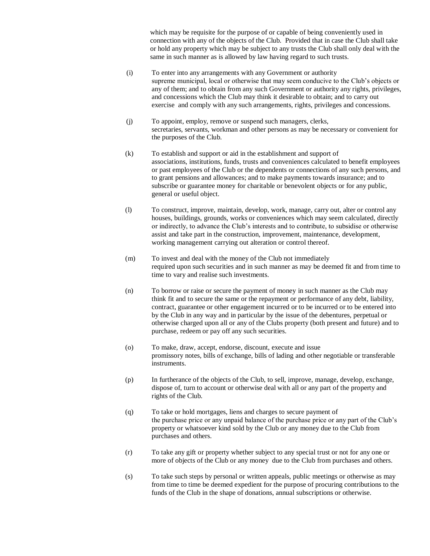which may be requisite for the purpose of or capable of being conveniently used in connection with any of the objects of the Club. Provided that in case the Club shall take or hold any property which may be subject to any trusts the Club shall only deal with the same in such manner as is allowed by law having regard to such trusts.

- (i) To enter into any arrangements with any Government or authority supreme municipal, local or otherwise that may seem conducive to the Club's objects or any of them; and to obtain from any such Government or authority any rights, privileges, and concessions which the Club may think it desirable to obtain; and to carry out exercise and comply with any such arrangements, rights, privileges and concessions.
- (j) To appoint, employ, remove or suspend such managers, clerks, secretaries, servants, workman and other persons as may be necessary or convenient for the purposes of the Club.
- (k) To establish and support or aid in the establishment and support of associations, institutions, funds, trusts and conveniences calculated to benefit employees or past employees of the Club or the dependents or connections of any such persons, and to grant pensions and allowances; and to make payments towards insurance; and to subscribe or guarantee money for charitable or benevolent objects or for any public, general or useful object.
- (l) To construct, improve, maintain, develop, work, manage, carry out, alter or control any houses, buildings, grounds, works or conveniences which may seem calculated, directly or indirectly, to advance the Club's interests and to contribute, to subsidise or otherwise assist and take part in the construction, improvement, maintenance, development, working management carrying out alteration or control thereof.
- (m) To invest and deal with the money of the Club not immediately required upon such securities and in such manner as may be deemed fit and from time to time to vary and realise such investments.
- (n) To borrow or raise or secure the payment of money in such manner as the Club may think fit and to secure the same or the repayment or performance of any debt, liability, contract, guarantee or other engagement incurred or to be incurred or to be entered into by the Club in any way and in particular by the issue of the debentures, perpetual or otherwise charged upon all or any of the Clubs property (both present and future) and to purchase, redeem or pay off any such securities.
- (o) To make, draw, accept, endorse, discount, execute and issue promissory notes, bills of exchange, bills of lading and other negotiable or transferable instruments.
- (p) In furtherance of the objects of the Club, to sell, improve, manage, develop, exchange, dispose of, turn to account or otherwise deal with all or any part of the property and rights of the Club.
- (q) To take or hold mortgages, liens and charges to secure payment of the purchase price or any unpaid balance of the purchase price or any part of the Club's property or whatsoever kind sold by the Club or any money due to the Club from purchases and others.
- (r) To take any gift or property whether subject to any special trust or not for any one or more of objects of the Club or any money due to the Club from purchases and others.
- (s) To take such steps by personal or written appeals, public meetings or otherwise as may from time to time be deemed expedient for the purpose of procuring contributions to the funds of the Club in the shape of donations, annual subscriptions or otherwise.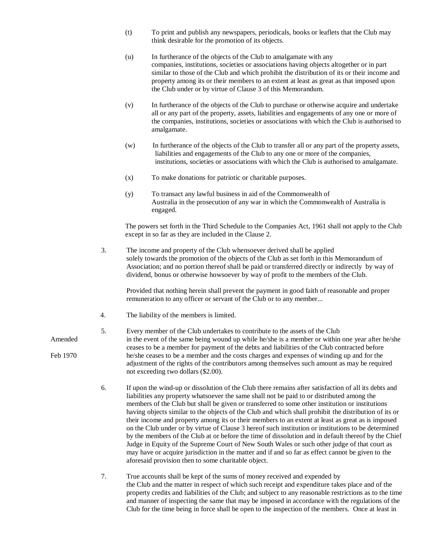- (t) To print and publish any newspapers, periodicals, books or leaflets that the Club may think desirable for the promotion of its objects.
- (u) In furtherance of the objects of the Club to amalgamate with any companies, institutions, societies or associations having objects altogether or in part similar to those of the Club and which prohibit the distribution of its or their income and property among its or their members to an extent at least as great as that imposed upon the Club under or by virtue of Clause 3 of this Memorandum.
- (v) In furtherance of the objects of the Club to purchase or otherwise acquire and undertake all or any part of the property, assets, liabilities and engagements of any one or more of the companies, institutions, societies or associations with which the Club is authorised to amalgamate.
- (w) In furtherance of the objects of the Club to transfer all or any part of the property assets, liabilities and engagements of the Club to any one or more of the companies, institutions, societies or associations with which the Club is authorised to amalgamate.
- (x) To make donations for patriotic or charitable purposes.
- (y) To transact any lawful business in aid of the Commonwealth of Australia in the prosecution of any war in which the Commonwealth of Australia is engaged.

The powers set forth in the Third Schedule to the Companies Act, 1961 shall not apply to the Club except in so far as they are included in the Clause 2.

3. The income and property of the Club whensoever derived shall be applied solely towards the promotion of the objects of the Club as set forth in this Memorandum of Association; and no portion thereof shall be paid or transferred directly or indirectly by way of dividend, bonus or otherwise howsoever by way of profit to the members of the Club.

Provided that nothing herein shall prevent the payment in good faith of reasonable and proper remuneration to any officer or servant of the Club or to any member...

4. The liability of the members is limited.

#### 5. Every member of the Club undertakes to contribute to the assets of the Club Amended in the event of the same being wound up while he/she is a member or within one year after he/she ceases to be a member for payment of the debts and liabilities of the Club contracted before Feb 1970 he/she ceases to be a member and the costs charges and expenses of winding up and for the adjustment of the rights of the contributors among themselves such amount as may be required not exceeding two dollars (\$2.00).

- 6. If upon the wind-up or dissolution of the Club there remains after satisfaction of all its debts and liabilities any property whatsoever the same shall not be paid to or distributed among the members of the Club but shall be given or transferred to some other institution or institutions having objects similar to the objects of the Club and which shall prohibit the distribution of its or their income and property among its or their members to an extent at least as great as is imposed on the Club under or by virtue of Clause 3 hereof such institution or institutions to be determined by the members of the Club at or before the time of dissolution and in default thereof by the Chief Judge in Equity of the Supreme Court of New South Wales or such other judge of that court as may have or acquire jurisdiction in the matter and if and so far as effect cannot be given to the aforesaid provision then to some charitable object.
- 7. True accounts shall be kept of the sums of money received and expended by the Club and the matter in respect of which such receipt and expenditure takes place and of the property credits and liabilities of the Club; and subject to any reasonable restrictions as to the time and manner of inspecting the same that may be imposed in accordance with the regulations of the Club for the time being in force shall be open to the inspection of the members. Once at least in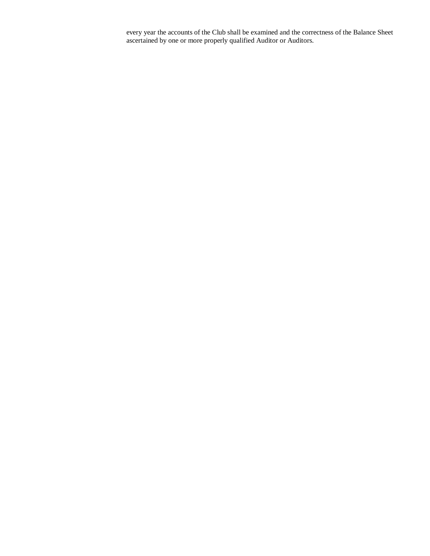every year the accounts of the Club shall be examined and the correctness of the Balance Sheet ascertained by one or more properly qualified Auditor or Auditors.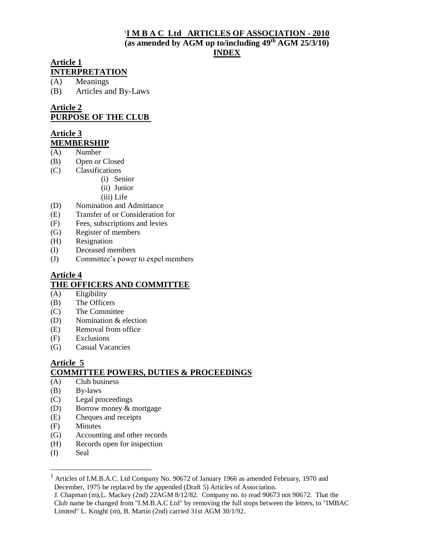#### 1 **I M B A C Ltd ARTICLES OF ASSOCIATION - 2010 (as amended by AGM up to/including 49th AGM 25/3/10) INDEX**

#### **Article 1 INTERPRETATION**

(A) Meanings

(B) Articles and By-Laws

#### **Article 2 PURPOSE OF THE CLUB**

#### **Article 3 MEMBERSHIP**

- (A) Number
- (B) Open or Closed
- (C) Classifications
	- (i) Senior
		- (ii) Junior
		- (iii) Life
- (D) Nomination and Admittance
- (E) Transfer of or Consideration for
- (F) Fees, subscriptions and levies
- (G) Register of members
- (H) Resignation
- (I) Deceased members
- (J) Committee's power to expel members

#### **Article 4 THE OFFICERS AND COMMITTEE**

- $(A)$  Eligibility
- (B) The Officers
- (C) The Committee
- (D) Nomination & election
- (E) Removal from office
- (F) Exclusions
- (G) Casual Vacancies

#### **Article 5 COMMITTEE POWERS, DUTIES & PROCEEDINGS**

- (A) Club business
- (B) By-laws
- (C) Legal proceedings
- (D) Borrow money & mortgage
- (E) Cheques and receipts
- (F) Minutes
- (G) Accounting and other records
- (H) Records open for inspection
- (I) Seal

<sup>&</sup>lt;sup>1</sup> Articles of I.M.B.A.C. Ltd Company No. 90672 of January 1966 as amended February, 1970 and December, 1975 be replaced by the appended (Draft 5) Articles of Association.

J. Chapman (m),L. Mackey (2nd) 22AGM 8/12/82. Company no. to read 90673 not 90672. That the Club name be changed from "I.M.B.A.C Ltd" by removing the full stops between the letters, to "IMBAC Limited" L. Knight (m), B. Martin (2nd) carried 31st AGM 30/1/92.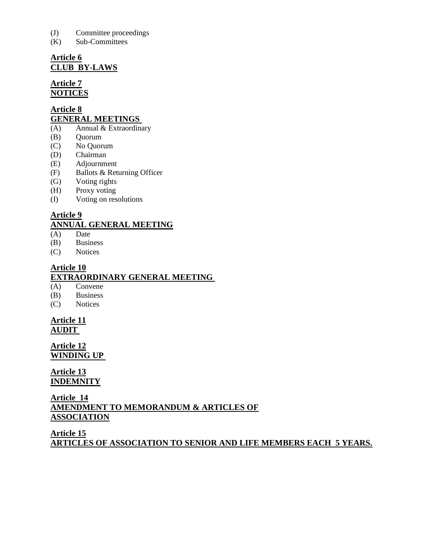- (J) Committee proceedings
- (K) Sub-Committees

# **Article 6 CLUB BY-LAWS**

#### **Article 7 NOTICES**

#### **Article 8 GENERAL MEETINGS**

- $(A)$  Annual & Extraordinary
- (B) Quorum
- (C) No Quorum
- (D) Chairman
- (E) Adjournment
- (F) Ballots & Returning Officer
- (G) Voting rights
- (H) Proxy voting
- (I) Voting on resolutions

# **Article 9**

# **ANNUAL GENERAL MEETING**

- (A) Date
- (B) Business
- (C) Notices

## **Article 10 EXTRAORDINARY GENERAL MEETING**

# $(A)$  Convene

- (B) Business
- (C) Notices

#### **Article 11 AUDIT**

**Article 12 WINDING UP** 

# **Article 13 INDEMNITY**

# **Article 14 AMENDMENT TO MEMORANDUM & ARTICLES OF ASSOCIATION**

**Article 15 ARTICLES OF ASSOCIATION TO SENIOR AND LIFE MEMBERS EACH 5 YEARS.**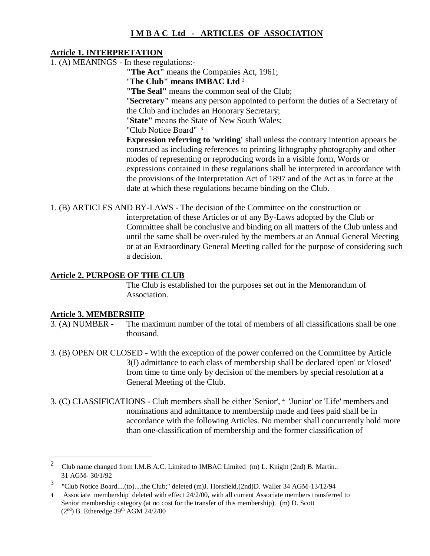# **I M B A C Ltd - ARTICLES OF ASSOCIATION**

#### **Article 1. INTERPRETATION**

1. (A) MEANINGS - In these regulations:-

**"The Act"** means the Companies Act, 1961;

"**The Club" means IMBAC Ltd** <sup>2</sup>

**"The Seal"** means the common seal of the Club;

"**Secretary"** means any person appointed to perform the duties of a Secretary of the Club and includes an Honorary Secretary;

"**State"** means the State of New South Wales;

"Club Notice Board" <sup>3</sup>

**Expression referring to 'writing'** shall unless the contrary intention appears be construed as including references to printing lithography photography and other modes of representing or reproducing words in a visible form, Words or expressions contained in these regulations shall be interpreted in accordance with the provisions of the Interpretation Act of 1897 and of the Act as in force at the date at which these regulations became binding on the Club.

1. (B) ARTICLES AND BY-LAWS - The decision of the Committee on the construction or interpretation of these Articles or of any By-Laws adopted by the Club or Committee shall be conclusive and binding on all matters of the Club unless and until the same shall be over-ruled by the members at an Annual General Meeting or at an Extraordinary General Meeting called for the purpose of considering such a decision.

# **Article 2. PURPOSE OF THE CLUB**

The Club is established for the purposes set out in the Memorandum of Association.

# **Article 3. MEMBERSHIP**<br>3. (A) NUMBER - The n

- The maximum number of the total of members of all classifications shall be one thousand.
- 3. (B) OPEN OR CLOSED With the exception of the power conferred on the Committee by Article 3(I) admittance to each class of membership shall be declared 'open' or 'closed' from time to time only by decision of the members by special resolution at a General Meeting of the Club.
- 3. (C) CLASSIFICATIONS Club members shall be either 'Senior', <sup>4</sup> <sup>3</sup> 'Junior' or 'Life' members and nominations and admittance to membership made and fees paid shall be in accordance with the following Articles. No member shall concurrently hold more than one-classification of membership and the former classification of

<sup>2</sup> Club name changed from I.M.B.A.C. Limited to IMBAC Limited (m) L. Knight (2nd) B. Martin.. 31 AGM- 30/1/92

<sup>&</sup>lt;sup>3</sup> "Club Notice Board....(to)....the Club;" deleted (m)J. Horsfield, (2nd)D. Waller 34 AGM-13/12/94

<sup>4</sup> Associate membership deleted with effect 24/2/00, with all current Associate members transferred to Senior membership category (at no cost for the transfer of this membership). (m) D. Scott  $(2<sup>nd</sup>)$  B. Etheredge  $39<sup>th</sup>$  AGM  $24/2/00$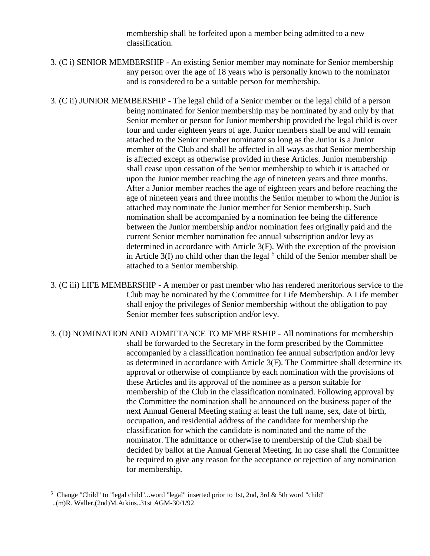membership shall be forfeited upon a member being admitted to a new classification.

3. (C i) SENIOR MEMBERSHIP - An existing Senior member may nominate for Senior membership any person over the age of 18 years who is personally known to the nominator and is considered to be a suitable person for membership.

3. (C ii) JUNIOR MEMBERSHIP - The legal child of a Senior member or the legal child of a person being nominated for Senior membership may be nominated by and only by that Senior member or person for Junior membership provided the legal child is over four and under eighteen years of age. Junior members shall be and will remain attached to the Senior member nominator so long as the Junior is a Junior member of the Club and shall be affected in all ways as that Senior membership is affected except as otherwise provided in these Articles. Junior membership shall cease upon cessation of the Senior membership to which it is attached or upon the Junior member reaching the age of nineteen years and three months. After a Junior member reaches the age of eighteen years and before reaching the age of nineteen years and three months the Senior member to whom the Junior is attached may nominate the Junior member for Senior membership. Such nomination shall be accompanied by a nomination fee being the difference between the Junior membership and/or nomination fees originally paid and the current Senior member nomination fee annual subscription and/or levy as determined in accordance with Article 3(F). With the exception of the provision in Article  $3(I)$  no child other than the legal  $5$  child of the Senior member shall be attached to a Senior membership.

3. (C iii) LIFE MEMBERSHIP - A member or past member who has rendered meritorious service to the Club may be nominated by the Committee for Life Membership. A Life member shall enjoy the privileges of Senior membership without the obligation to pay Senior member fees subscription and/or levy.

3. (D) NOMINATION AND ADMITTANCE TO MEMBERSHIP - All nominations for membership shall be forwarded to the Secretary in the form prescribed by the Committee accompanied by a classification nomination fee annual subscription and/or levy as determined in accordance with Article 3(F). The Committee shall determine its approval or otherwise of compliance by each nomination with the provisions of these Articles and its approval of the nominee as a person suitable for membership of the Club in the classification nominated. Following approval by the Committee the nomination shall be announced on the business paper of the next Annual General Meeting stating at least the full name, sex, date of birth, occupation, and residential address of the candidate for membership the classification for which the candidate is nominated and the name of the nominator. The admittance or otherwise to membership of the Club shall be decided by ballot at the Annual General Meeting. In no case shall the Committee be required to give any reason for the acceptance or rejection of any nomination for membership.

<sup>5</sup> Change "Child" to "legal child"...word "legal" inserted prior to 1st, 2nd, 3rd & 5th word "child"

<sup>..(</sup>m)R. Waller,(2nd)M.Atkins..31st AGM-30/1/92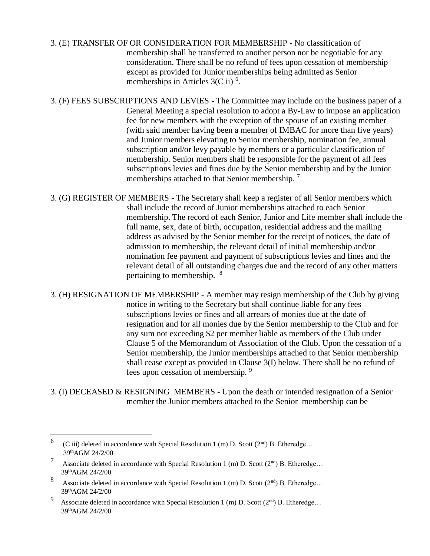- 3. (E) TRANSFER OF OR CONSIDERATION FOR MEMBERSHIP No classification of membership shall be transferred to another person nor be negotiable for any consideration. There shall be no refund of fees upon cessation of membership except as provided for Junior memberships being admitted as Senior memberships in Articles  $3(C \text{ ii})^6$ .
- 3. (F) FEES SUBSCRIPTIONS AND LEVIES The Committee may include on the business paper of a General Meeting a special resolution to adopt a By-Law to impose an application fee for new members with the exception of the spouse of an existing member (with said member having been a member of IMBAC for more than five years) and Junior members elevating to Senior membership, nomination fee, annual subscription and/or levy payable by members or a particular classification of membership. Senior members shall be responsible for the payment of all fees subscriptions levies and fines due by the Senior membership and by the Junior memberships attached to that Senior membership.<sup>7</sup>
- 3. (G) REGISTER OF MEMBERS The Secretary shall keep a register of all Senior members which shall include the record of Junior memberships attached to each Senior membership. The record of each Senior, Junior and Life member shall include the full name, sex, date of birth, occupation, residential address and the mailing address as advised by the Senior member for the receipt of notices, the date of admission to membership, the relevant detail of initial membership and/or nomination fee payment and payment of subscriptions levies and fines and the relevant detail of all outstanding charges due and the record of any other matters pertaining to membership. <sup>8</sup>
- 3. (H) RESIGNATION OF MEMBERSHIP A member may resign membership of the Club by giving notice in writing to the Secretary but shall continue liable for any fees subscriptions levies or fines and all arrears of monies due at the date of resignation and for all monies due by the Senior membership to the Club and for any sum not exceeding \$2 per member liable as members of the Club under Clause 5 of the Memorandum of Association of the Club. Upon the cessation of a Senior membership, the Junior memberships attached to that Senior membership shall cease except as provided in Clause 3(I) below. There shall be no refund of fees upon cessation of membership. <sup>9</sup>
- 3. (I) DECEASED & RESIGNING MEMBERS Upon the death or intended resignation of a Senior member the Junior members attached to the Senior membership can be

<sup>6</sup> (C iii) deleted in accordance with Special Resolution 1 (m) D. Scott ( $2<sup>nd</sup>$ ) B. Etheredge... 39thAGM 24/2/00

<sup>7</sup> Associate deleted in accordance with Special Resolution 1 (m) D. Scott  $(2^{nd})$  B. Etheredge... 39thAGM 24/2/00

<sup>8</sup> Associate deleted in accordance with Special Resolution 1 (m) D. Scott  $(2^{nd})$  B. Etheredge... 39thAGM 24/2/00

<sup>9</sup> Associate deleted in accordance with Special Resolution 1 (m) D. Scott (2<sup>nd</sup>) B. Etheredge... 39thAGM 24/2/00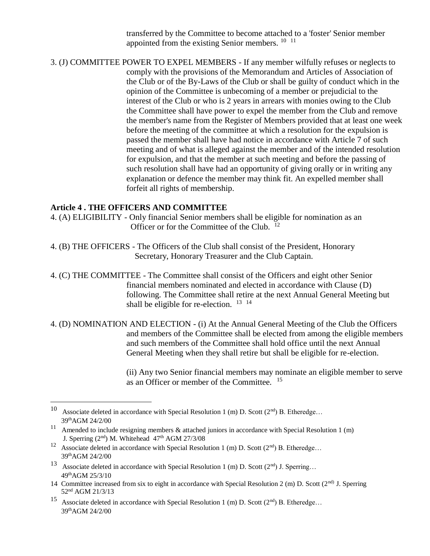transferred by the Committee to become attached to a 'foster' Senior member appointed from the existing Senior members.  $10^{-11}$ 

3. (J) COMMITTEE POWER TO EXPEL MEMBERS - If any member wilfully refuses or neglects to comply with the provisions of the Memorandum and Articles of Association of the Club or of the By-Laws of the Club or shall be guilty of conduct which in the opinion of the Committee is unbecoming of a member or prejudicial to the interest of the Club or who is 2 years in arrears with monies owing to the Club the Committee shall have power to expel the member from the Club and remove the member's name from the Register of Members provided that at least one week before the meeting of the committee at which a resolution for the expulsion is passed the member shall have had notice in accordance with Article 7 of such meeting and of what is alleged against the member and of the intended resolution for expulsion, and that the member at such meeting and before the passing of such resolution shall have had an opportunity of giving orally or in writing any explanation or defence the member may think fit. An expelled member shall forfeit all rights of membership.

#### **Article 4 . THE OFFICERS AND COMMITTEE**

 $\overline{a}$ 

- 4. (A) ELIGIBILITY Only financial Senior members shall be eligible for nomination as an Officer or for the Committee of the Club.  $12$
- 4. (B) THE OFFICERS The Officers of the Club shall consist of the President, Honorary Secretary, Honorary Treasurer and the Club Captain.
- 4. (C) THE COMMITTEE The Committee shall consist of the Officers and eight other Senior financial members nominated and elected in accordance with Clause (D) following. The Committee shall retire at the next Annual General Meeting but shall be eligible for re-election.  $13 \times 14$
- 4. (D) NOMINATION AND ELECTION (i) At the Annual General Meeting of the Club the Officers and members of the Committee shall be elected from among the eligible members and such members of the Committee shall hold office until the next Annual General Meeting when they shall retire but shall be eligible for re-election.

(ii) Any two Senior financial members may nominate an eligible member to serve as an Officer or member of the Committee.  $15$ 

<sup>&</sup>lt;sup>10</sup> Associate deleted in accordance with Special Resolution 1 (m) D. Scott ( $2<sup>nd</sup>$ ) B. Etheredge... 39thAGM 24/2/00

<sup>&</sup>lt;sup>11</sup> Amended to include resigning members  $\&$  attached juniors in accordance with Special Resolution 1 (m) J. Sperring  $(2<sup>nd</sup>)$  M. Whitehead  $47<sup>th</sup>$  AGM  $27/3/08$ 

<sup>&</sup>lt;sup>12</sup> Associate deleted in accordance with Special Resolution 1 (m) D. Scott ( $2<sup>nd</sup>$ ) B. Etheredge... 39thAGM 24/2/00

<sup>13</sup> Associate deleted in accordance with Special Resolution 1 (m) D. Scott  $(2<sup>nd</sup>)$  J. Sperring... 49thAGM 25/3/10

<sup>14</sup> Committee increased from six to eight in accordance with Special Resolution 2 (m) D. Scott (2<sup>nd)</sup> J. Sperring 52nd AGM 21/3/13

<sup>&</sup>lt;sup>15</sup> Associate deleted in accordance with Special Resolution 1 (m) D. Scott ( $2<sup>nd</sup>$ ) B. Etheredge... 39thAGM 24/2/00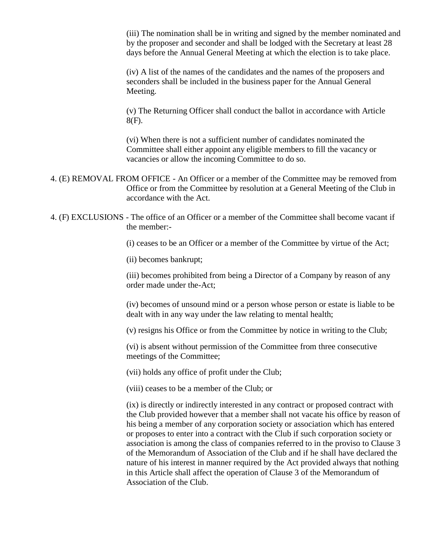(iii) The nomination shall be in writing and signed by the member nominated and by the proposer and seconder and shall be lodged with the Secretary at least 28 days before the Annual General Meeting at which the election is to take place.

(iv) A list of the names of the candidates and the names of the proposers and seconders shall be included in the business paper for the Annual General Meeting.

(v) The Returning Officer shall conduct the ballot in accordance with Article 8(F).

(vi) When there is not a sufficient number of candidates nominated the Committee shall either appoint any eligible members to fill the vacancy or vacancies or allow the incoming Committee to do so.

- 4. (E) REMOVAL FROM OFFICE An Officer or a member of the Committee may be removed from Office or from the Committee by resolution at a General Meeting of the Club in accordance with the Act.
- 4. (F) EXCLUSIONS The office of an Officer or a member of the Committee shall become vacant if the member:-

(i) ceases to be an Officer or a member of the Committee by virtue of the Act;

(ii) becomes bankrupt;

(iii) becomes prohibited from being a Director of a Company by reason of any order made under the-Act;

(iv) becomes of unsound mind or a person whose person or estate is liable to be dealt with in any way under the law relating to mental health;

(v) resigns his Office or from the Committee by notice in writing to the Club;

(vi) is absent without permission of the Committee from three consecutive meetings of the Committee;

(vii) holds any office of profit under the Club;

(viii) ceases to be a member of the Club; or

(ix) is directly or indirectly interested in any contract or proposed contract with the Club provided however that a member shall not vacate his office by reason of his being a member of any corporation society or association which has entered or proposes to enter into a contract with the Club if such corporation society or association is among the class of companies referred to in the proviso to Clause 3 of the Memorandum of Association of the Club and if he shall have declared the nature of his interest in manner required by the Act provided always that nothing in this Article shall affect the operation of Clause 3 of the Memorandum of Association of the Club.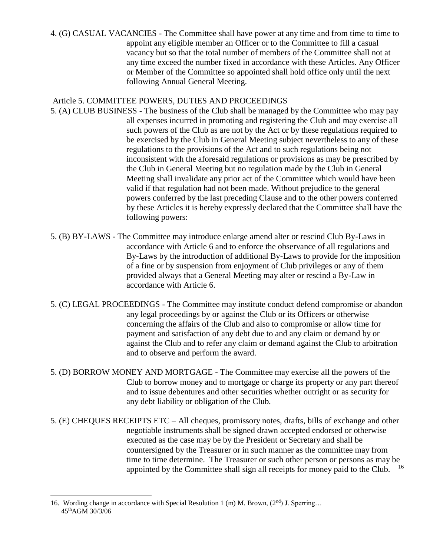4. (G) CASUAL VACANCIES - The Committee shall have power at any time and from time to time to appoint any eligible member an Officer or to the Committee to fill a casual vacancy but so that the total number of members of the Committee shall not at any time exceed the number fixed in accordance with these Articles. Any Officer or Member of the Committee so appointed shall hold office only until the next following Annual General Meeting.

# Article 5. COMMITTEE POWERS, DUTIES AND PROCEEDINGS

- 5. (A) CLUB BUSINESS The business of the Club shall be managed by the Committee who may pay all expenses incurred in promoting and registering the Club and may exercise all such powers of the Club as are not by the Act or by these regulations required to be exercised by the Club in General Meeting subject nevertheless to any of these regulations to the provisions of the Act and to such regulations being not inconsistent with the aforesaid regulations or provisions as may be prescribed by the Club in General Meeting but no regulation made by the Club in General Meeting shall invalidate any prior act of the Committee which would have been valid if that regulation had not been made. Without prejudice to the general powers conferred by the last preceding Clause and to the other powers conferred by these Articles it is hereby expressly declared that the Committee shall have the following powers:
- 5. (B) BY-LAWS The Committee may introduce enlarge amend alter or rescind Club By-Laws in accordance with Article 6 and to enforce the observance of all regulations and By-Laws by the introduction of additional By-Laws to provide for the imposition of a fine or by suspension from enjoyment of Club privileges or any of them provided always that a General Meeting may alter or rescind a By-Law in accordance with Article 6.
- 5. (C) LEGAL PROCEEDINGS The Committee may institute conduct defend compromise or abandon any legal proceedings by or against the Club or its Officers or otherwise concerning the affairs of the Club and also to compromise or allow time for payment and satisfaction of any debt due to and any claim or demand by or against the Club and to refer any claim or demand against the Club to arbitration and to observe and perform the award.
- 5. (D) BORROW MONEY AND MORTGAGE The Committee may exercise all the powers of the Club to borrow money and to mortgage or charge its property or any part thereof and to issue debentures and other securities whether outright or as security for any debt liability or obligation of the Club.
- 5. (E) CHEQUES RECEIPTS ETC All cheques, promissory notes, drafts, bills of exchange and other negotiable instruments shall be signed drawn accepted endorsed or otherwise executed as the case may be by the President or Secretary and shall be countersigned by the Treasurer or in such manner as the committee may from time to time determine. The Treasurer or such other person or persons as may be appointed by the Committee shall sign all receipts for money paid to the Club.

<sup>16.</sup> Wording change in accordance with Special Resolution 1 (m) M. Brown,  $(2<sup>nd</sup>)$  J. Sperring... 45thAGM 30/3/06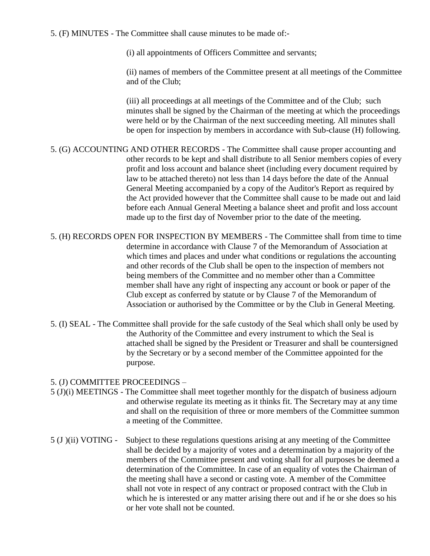5. (F) MINUTES - The Committee shall cause minutes to be made of:-

(i) all appointments of Officers Committee and servants;

(ii) names of members of the Committee present at all meetings of the Committee and of the Club;

(iii) all proceedings at all meetings of the Committee and of the Club; such minutes shall be signed by the Chairman of the meeting at which the proceedings were held or by the Chairman of the next succeeding meeting. All minutes shall be open for inspection by members in accordance with Sub-clause (H) following.

- 5. (G) ACCOUNTING AND OTHER RECORDS The Committee shall cause proper accounting and other records to be kept and shall distribute to all Senior members copies of every profit and loss account and balance sheet (including every document required by law to be attached thereto) not less than 14 days before the date of the Annual General Meeting accompanied by a copy of the Auditor's Report as required by the Act provided however that the Committee shall cause to be made out and laid before each Annual General Meeting a balance sheet and profit and loss account made up to the first day of November prior to the date of the meeting.
- 5. (H) RECORDS OPEN FOR INSPECTION BY MEMBERS The Committee shall from time to time determine in accordance with Clause 7 of the Memorandum of Association at which times and places and under what conditions or regulations the accounting and other records of the Club shall be open to the inspection of members not being members of the Committee and no member other than a Committee member shall have any right of inspecting any account or book or paper of the Club except as conferred by statute or by Clause 7 of the Memorandum of Association or authorised by the Committee or by the Club in General Meeting.
- 5. (I) SEAL The Committee shall provide for the safe custody of the Seal which shall only be used by the Authority of the Committee and every instrument to which the Seal is attached shall be signed by the President or Treasurer and shall be countersigned by the Secretary or by a second member of the Committee appointed for the purpose.

## 5. (J) COMMITTEE PROCEEDINGS –

- 5 (J)(i) MEETINGS The Committee shall meet together monthly for the dispatch of business adjourn and otherwise regulate its meeting as it thinks fit. The Secretary may at any time and shall on the requisition of three or more members of the Committee summon a meeting of the Committee.
- 5 (J )(ii) VOTING Subject to these regulations questions arising at any meeting of the Committee shall be decided by a majority of votes and a determination by a majority of the members of the Committee present and voting shall for all purposes be deemed a determination of the Committee. In case of an equality of votes the Chairman of the meeting shall have a second or casting vote. A member of the Committee shall not vote in respect of any contract or proposed contract with the Club in which he is interested or any matter arising there out and if he or she does so his or her vote shall not be counted.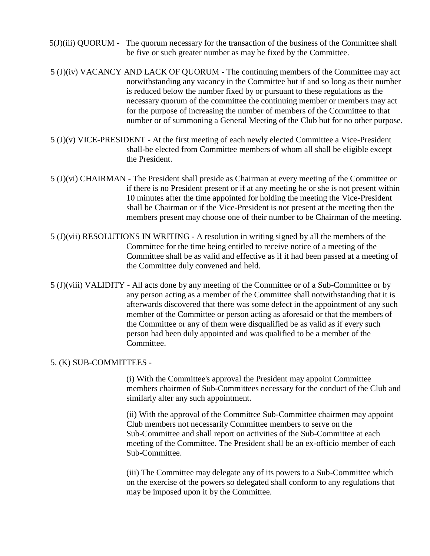- 5(J)(iii) QUORUM The quorum necessary for the transaction of the business of the Committee shall be five or such greater number as may be fixed by the Committee.
- 5 (J)(iv) VACANCY AND LACK OF QUORUM The continuing members of the Committee may act notwithstanding any vacancy in the Committee but if and so long as their number is reduced below the number fixed by or pursuant to these regulations as the necessary quorum of the committee the continuing member or members may act for the purpose of increasing the number of members of the Committee to that number or of summoning a General Meeting of the Club but for no other purpose.
- 5 (J)(v) VICE-PRESIDENT At the first meeting of each newly elected Committee a Vice-President shall-be elected from Committee members of whom all shall be eligible except the President.
- 5 (J)(vi) CHAIRMAN The President shall preside as Chairman at every meeting of the Committee or if there is no President present or if at any meeting he or she is not present within 10 minutes after the time appointed for holding the meeting the Vice-President shall be Chairman or if the Vice-President is not present at the meeting then the members present may choose one of their number to be Chairman of the meeting.
- 5 (J)(vii) RESOLUTIONS IN WRITING A resolution in writing signed by all the members of the Committee for the time being entitled to receive notice of a meeting of the Committee shall be as valid and effective as if it had been passed at a meeting of the Committee duly convened and held.
- 5 (J)(viii) VALIDITY All acts done by any meeting of the Committee or of a Sub-Committee or by any person acting as a member of the Committee shall notwithstanding that it is afterwards discovered that there was some defect in the appointment of any such member of the Committee or person acting as aforesaid or that the members of the Committee or any of them were disqualified be as valid as if every such person had been duly appointed and was qualified to be a member of the Committee.

#### 5. (K) SUB-COMMITTEES -

(i) With the Committee's approval the President may appoint Committee members chairmen of Sub-Committees necessary for the conduct of the Club and similarly alter any such appointment.

(ii) With the approval of the Committee Sub-Committee chairmen may appoint Club members not necessarily Committee members to serve on the Sub-Committee and shall report on activities of the Sub-Committee at each meeting of the Committee. The President shall be an ex-officio member of each Sub-Committee.

(iii) The Committee may delegate any of its powers to a Sub-Committee which on the exercise of the powers so delegated shall conform to any regulations that may be imposed upon it by the Committee.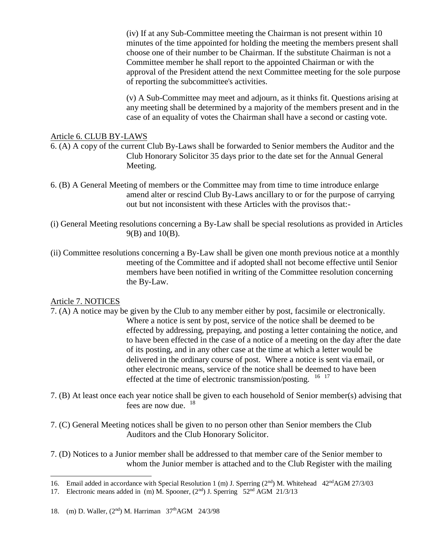(iv) If at any Sub-Committee meeting the Chairman is not present within 10 minutes of the time appointed for holding the meeting the members present shall choose one of their number to be Chairman. If the substitute Chairman is not a Committee member he shall report to the appointed Chairman or with the approval of the President attend the next Committee meeting for the sole purpose of reporting the subcommittee's activities.

(v) A Sub-Committee may meet and adjourn, as it thinks fit. Questions arising at any meeting shall be determined by a majority of the members present and in the case of an equality of votes the Chairman shall have a second or casting vote.

#### Article 6. CLUB BY-LAWS

6. (A) A copy of the current Club By-Laws shall be forwarded to Senior members the Auditor and the Club Honorary Solicitor 35 days prior to the date set for the Annual General Meeting.

- 6. (B) A General Meeting of members or the Committee may from time to time introduce enlarge amend alter or rescind Club By-Laws ancillary to or for the purpose of carrying out but not inconsistent with these Articles with the provisos that:-
- (i) General Meeting resolutions concerning a By-Law shall be special resolutions as provided in Articles 9(B) and 10(B).
- (ii) Committee resolutions concerning a By-Law shall be given one month previous notice at a monthly meeting of the Committee and if adopted shall not become effective until Senior members have been notified in writing of the Committee resolution concerning the By-Law.

#### Article 7. NOTICES

- 7. (A) A notice may be given by the Club to any member either by post, facsimile or electronically. Where a notice is sent by post, service of the notice shall be deemed to be effected by addressing, prepaying, and posting a letter containing the notice, and to have been effected in the case of a notice of a meeting on the day after the date of its posting, and in any other case at the time at which a letter would be delivered in the ordinary course of post. Where a notice is sent via email, or other electronic means, service of the notice shall be deemed to have been effected at the time of electronic transmission/posting.  $16 \frac{17}{2}$
- 7. (B) At least once each year notice shall be given to each household of Senior member(s) advising that fees are now due.  $18$
- 7. (C) General Meeting notices shall be given to no person other than Senior members the Club Auditors and the Club Honorary Solicitor.
- 7. (D) Notices to a Junior member shall be addressed to that member care of the Senior member to whom the Junior member is attached and to the Club Register with the mailing

<sup>16.</sup> Email added in accordance with Special Resolution 1 (m) J. Sperring (2<sup>nd</sup>) M. Whitehead 42<sup>nd</sup>AGM 27/3/03

<sup>17.</sup> Electronic means added in (m) M. Spooner, (2<sup>nd</sup>) J. Sperring 52<sup>nd</sup> AGM 21/3/13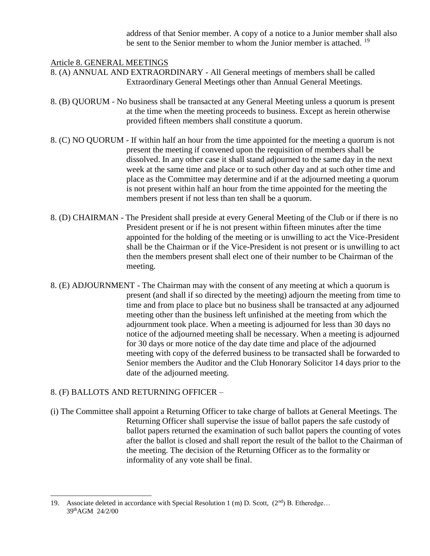address of that Senior member. A copy of a notice to a Junior member shall also be sent to the Senior member to whom the Junior member is attached.<sup>19</sup>

#### Article 8. GENERAL MEETINGS

- 8. (A) ANNUAL AND EXTRAORDINARY All General meetings of members shall be called Extraordinary General Meetings other than Annual General Meetings.
- 8. (B) QUORUM No business shall be transacted at any General Meeting unless a quorum is present at the time when the meeting proceeds to business. Except as herein otherwise provided fifteen members shall constitute a quorum.
- 8. (C) NO QUORUM If within half an hour from the time appointed for the meeting a quorum is not present the meeting if convened upon the requisition of members shall be dissolved. In any other case it shall stand adjourned to the same day in the next week at the same time and place or to such other day and at such other time and place as the Committee may determine and if at the adjourned meeting a quorum is not present within half an hour from the time appointed for the meeting the members present if not less than ten shall be a quorum.
- 8. (D) CHAIRMAN The President shall preside at every General Meeting of the Club or if there is no President present or if he is not present within fifteen minutes after the time appointed for the holding of the meeting or is unwilling to act the Vice-President shall be the Chairman or if the Vice-President is not present or is unwilling to act then the members present shall elect one of their number to be Chairman of the meeting.
- 8. (E) ADJOURNMENT The Chairman may with the consent of any meeting at which a quorum is present (and shall if so directed by the meeting) adjourn the meeting from time to time and from place to place but no business shall be transacted at any adjourned meeting other than the business left unfinished at the meeting from which the adjournment took place. When a meeting is adjourned for less than 30 days no notice of the adjourned meeting shall be necessary. When a meeting is adjourned for 30 days or more notice of the day date time and place of the adjourned meeting with copy of the deferred business to be transacted shall be forwarded to Senior members the Auditor and the Club Honorary Solicitor 14 days prior to the date of the adjourned meeting.

## 8. (F) BALLOTS AND RETURNING OFFICER –

 $\overline{a}$ 

(i) The Committee shall appoint a Returning Officer to take charge of ballots at General Meetings. The Returning Officer shall supervise the issue of ballot papers the safe custody of ballot papers returned the examination of such ballot papers the counting of votes after the ballot is closed and shall report the result of the ballot to the Chairman of the meeting. The decision of the Returning Officer as to the formality or informality of any vote shall be final.

<sup>19.</sup> Associate deleted in accordance with Special Resolution 1 (m) D. Scott,  $(2<sup>nd</sup>)$  B. Etheredge... 39thAGM 24/2/00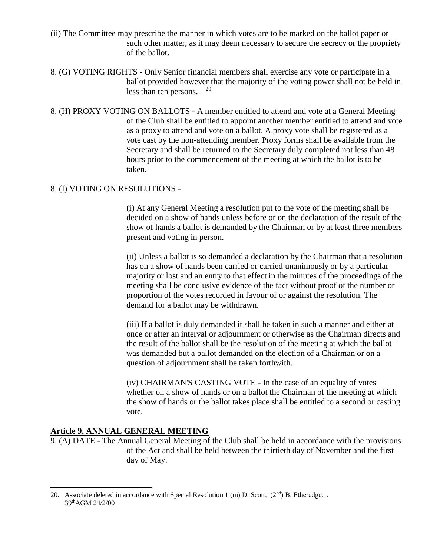- (ii) The Committee may prescribe the manner in which votes are to be marked on the ballot paper or such other matter, as it may deem necessary to secure the secrecy or the propriety of the ballot.
- 8. (G) VOTING RIGHTS Only Senior financial members shall exercise any vote or participate in a ballot provided however that the majority of the voting power shall not be held in less than ten persons.  $20$
- 8. (H) PROXY VOTING ON BALLOTS A member entitled to attend and vote at a General Meeting of the Club shall be entitled to appoint another member entitled to attend and vote as a proxy to attend and vote on a ballot. A proxy vote shall be registered as a vote cast by the non-attending member. Proxy forms shall be available from the Secretary and shall be returned to the Secretary duly completed not less than 48 hours prior to the commencement of the meeting at which the ballot is to be taken.

#### 8. (I) VOTING ON RESOLUTIONS -

(i) At any General Meeting a resolution put to the vote of the meeting shall be decided on a show of hands unless before or on the declaration of the result of the show of hands a ballot is demanded by the Chairman or by at least three members present and voting in person.

(ii) Unless a ballot is so demanded a declaration by the Chairman that a resolution has on a show of hands been carried or carried unanimously or by a particular majority or lost and an entry to that effect in the minutes of the proceedings of the meeting shall be conclusive evidence of the fact without proof of the number or proportion of the votes recorded in favour of or against the resolution. The demand for a ballot may be withdrawn.

(iii) If a ballot is duly demanded it shall be taken in such a manner and either at once or after an interval or adjournment or otherwise as the Chairman directs and the result of the ballot shall be the resolution of the meeting at which the ballot was demanded but a ballot demanded on the election of a Chairman or on a question of adjournment shall be taken forthwith.

(iv) CHAIRMAN'S CASTING VOTE - In the case of an equality of votes whether on a show of hands or on a ballot the Chairman of the meeting at which the show of hands or the ballot takes place shall be entitled to a second or casting vote.

## **Article 9. ANNUAL GENERAL MEETING**

 $\overline{a}$ 

9. (A) DATE - The Annual General Meeting of the Club shall be held in accordance with the provisions of the Act and shall be held between the thirtieth day of November and the first day of May.

<sup>20.</sup> Associate deleted in accordance with Special Resolution 1 (m) D. Scott,  $(2^{nd})$  B. Etheredge... 39thAGM 24/2/00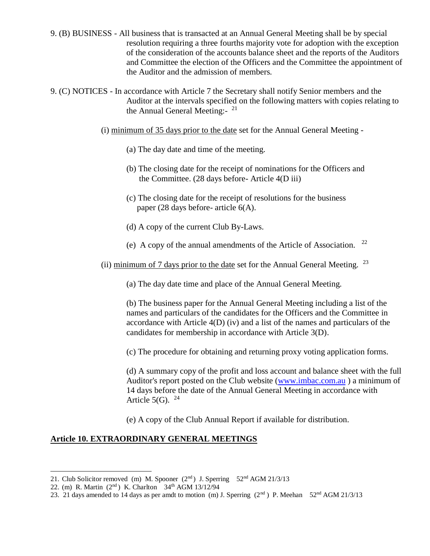9. (B) BUSINESS - All business that is transacted at an Annual General Meeting shall be by special resolution requiring a three fourths majority vote for adoption with the exception of the consideration of the accounts balance sheet and the reports of the Auditors and Committee the election of the Officers and the Committee the appointment of the Auditor and the admission of members.

9. (C) NOTICES - In accordance with Article 7 the Secretary shall notify Senior members and the Auditor at the intervals specified on the following matters with copies relating to the Annual General Meeting:- <sup>21</sup>

- (i) minimum of 35 days prior to the date set for the Annual General Meeting
	- (a) The day date and time of the meeting.
	- (b) The closing date for the receipt of nominations for the Officers and the Committee. (28 days before- Article 4(D iii)
	- (c) The closing date for the receipt of resolutions for the business paper (28 days before- article 6(A).
	- (d) A copy of the current Club By-Laws.
	- (e) A copy of the annual amendments of the Article of Association. <sup>1</sup> 1922

(ii) minimum of 7 days prior to the date set for the Annual General Meeting.  $23$ 

(a) The day date time and place of the Annual General Meeting.

(b) The business paper for the Annual General Meeting including a list of the names and particulars of the candidates for the Officers and the Committee in accordance with Article 4(D) (iv) and a list of the names and particulars of the candidates for membership in accordance with Article 3(D).

(c) The procedure for obtaining and returning proxy voting application forms.

(d) A summary copy of the profit and loss account and balance sheet with the full Auditor's report posted on the Club website [\(www.imbac.com.au](http://www.imbac.com.au/) ) a minimum of 14 days before the date of the Annual General Meeting in accordance with Article  $5(G)$ .  $24$ 

(e) A copy of the Club Annual Report if available for distribution.

#### **Article 10. EXTRAORDINARY GENERAL MEETINGS**

<sup>21.</sup> Club Solicitor removed (m) M. Spooner  $(2<sup>nd</sup>)$  J. Sperring 52<sup>nd</sup> AGM 21/3/13

<sup>22. (</sup>m) R. Martin (2<sup>nd</sup>) K. Charlton 34<sup>th</sup> AGM 13/12/94

<sup>23. 21</sup> days amended to 14 days as per amdt to motion (m) J. Sperring ( $2<sup>nd</sup>$ ) P. Meehan 52<sup>nd</sup> AGM 21/3/13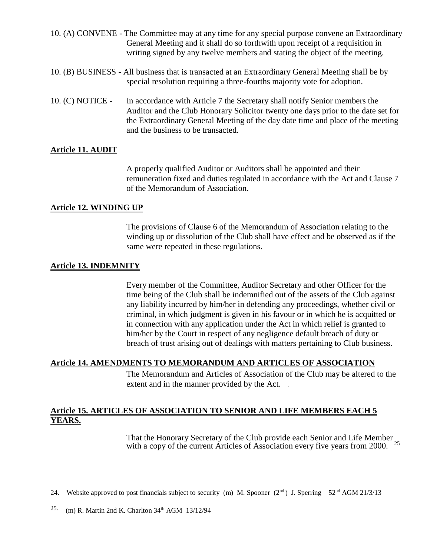| 10. (A) CONVENE - The Committee may at any time for any special purpose convene an Extraordinary   |
|----------------------------------------------------------------------------------------------------|
| General Meeting and it shall do so forthwith upon receipt of a requisition in                      |
| writing signed by any twelve members and stating the object of the meeting.                        |
| 10. (B) BUSINESS - All business that is transacted at an Extraordinary General Meeting shall be by |
| special resolution requiring a three-fourths majority vote for adoption.                           |

10. (C) NOTICE - In accordance with Article 7 the Secretary shall notify Senior members the Auditor and the Club Honorary Solicitor twenty one days prior to the date set for the Extraordinary General Meeting of the day date time and place of the meeting and the business to be transacted.

# **Article 11. AUDIT**

A properly qualified Auditor or Auditors shall be appointed and their remuneration fixed and duties regulated in accordance with the Act and Clause 7 of the Memorandum of Association.

## **Article 12. WINDING UP**

The provisions of Clause 6 of the Memorandum of Association relating to the winding up or dissolution of the Club shall have effect and be observed as if the same were repeated in these regulations.

# **Article 13. INDEMNITY**

Every member of the Committee, Auditor Secretary and other Officer for the time being of the Club shall be indemnified out of the assets of the Club against any liability incurred by him/her in defending any proceedings, whether civil or criminal, in which judgment is given in his favour or in which he is acquitted or in connection with any application under the Act in which relief is granted to him/her by the Court in respect of any negligence default breach of duty or breach of trust arising out of dealings with matters pertaining to Club business.

## **Article 14. AMENDMENTS TO MEMORANDUM AND ARTICLES OF ASSOCIATION**

The Memorandum and Articles of Association of the Club may be altered to the extent and in the manner provided by the Act.

# **Article 15. ARTICLES OF ASSOCIATION TO SENIOR AND LIFE MEMBERS EACH 5 YEARS.**

That the Honorary Secretary of the Club provide each Senior and Life Member with a copy of the current Articles of Association every five years from 2000.  $25$ 

<sup>24.</sup> Website approved to post financials subject to security (m) M. Spooner  $(2<sup>nd</sup>)$  J. Sperring 52<sup>nd</sup> AGM 21/3/13

<sup>25.</sup> (m) R. Martin 2nd K. Charlton 34<sup>th</sup> AGM 13/12/94